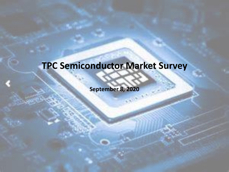### **TPC Semiconductor Market Survey**

**September 8, 2020**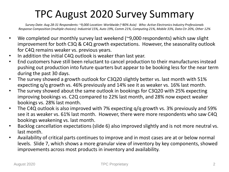### TPC August 2020 Survey Summary

*Survey Date: Aug 28-31 Respondents: ~9,000 Location: Worldwide (~80% Asia) Who: Active Electronics Industry Professionals Response Composition (multiple choices): Industrial 15%, Auto 19%, Comm 21%, Computing 21%, Mobile 33%, Data Ctr 20%, Other 12%*

- We completed our monthly survey last weekend (~9,000 respondents) which saw slight improvement for both C3Q & C4Q growth expectations. However, the seasonality outlook for C4Q remains weaker vs. previous years.
- In addition the initial C4Q outlook is weaker than last year.
- End customers have still been reluctant to cancel production to their manufactures instead pushing out production into future quarters but appear to be booking less for the near term during the past 30 days.
- The survey showed a growth outlook for C3Q20 slightly better vs. last month with 51% expecting q/q growth vs. 46% previously and 14% see it as weaker vs. 16% last month.
- The survey showed about the same outlook in bookings for C3Q20 with 25% expecting improving bookings vs. C2Q compared to 22% last month, and 28% now expect weaker bookings vs. 28% last month.
- The C4Q outlook is also improved with 7% expecting q/q growth vs. 3% previously and 59% see it as weaker vs. 61% last month. However, there were more respondents who saw C4Q bookings weakening vs. last month.
- Backlog cancellation expectations (slide 6) also improved slightly and is not more neutral vs. last month.
- Availability of critical parts continues to improve and in most cases are at or below normal levels. Slide 7, which shows a more granular view of inventory by key components, showed improvements across most products in inventory and availability.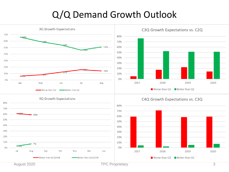#### Q/Q Demand Growth Outlook

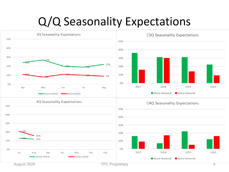## Q/Q Seasonality Expectations

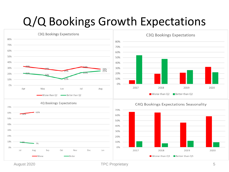## Q/Q Bookings Growth Expectations



August 2020 **TPC Proprietary** 5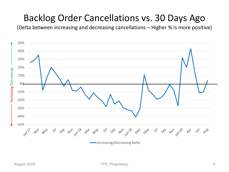#### Backlog Order Cancellations vs. 30 Days Ago

(Delta between increasing and decreasing cancellations – Higher % is more positive)

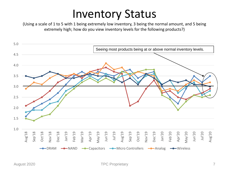## Inventory Status

(Using a scale of 1 to 5 with 1 being extremely low inventory, 3 being the normal amount, and 5 being extremely high; how do you view inventory levels for the following products?)

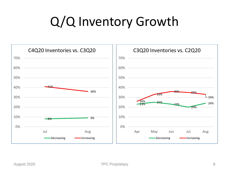# Q/Q Inventory Growth

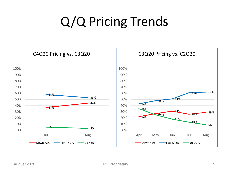# Q/Q Pricing Trends